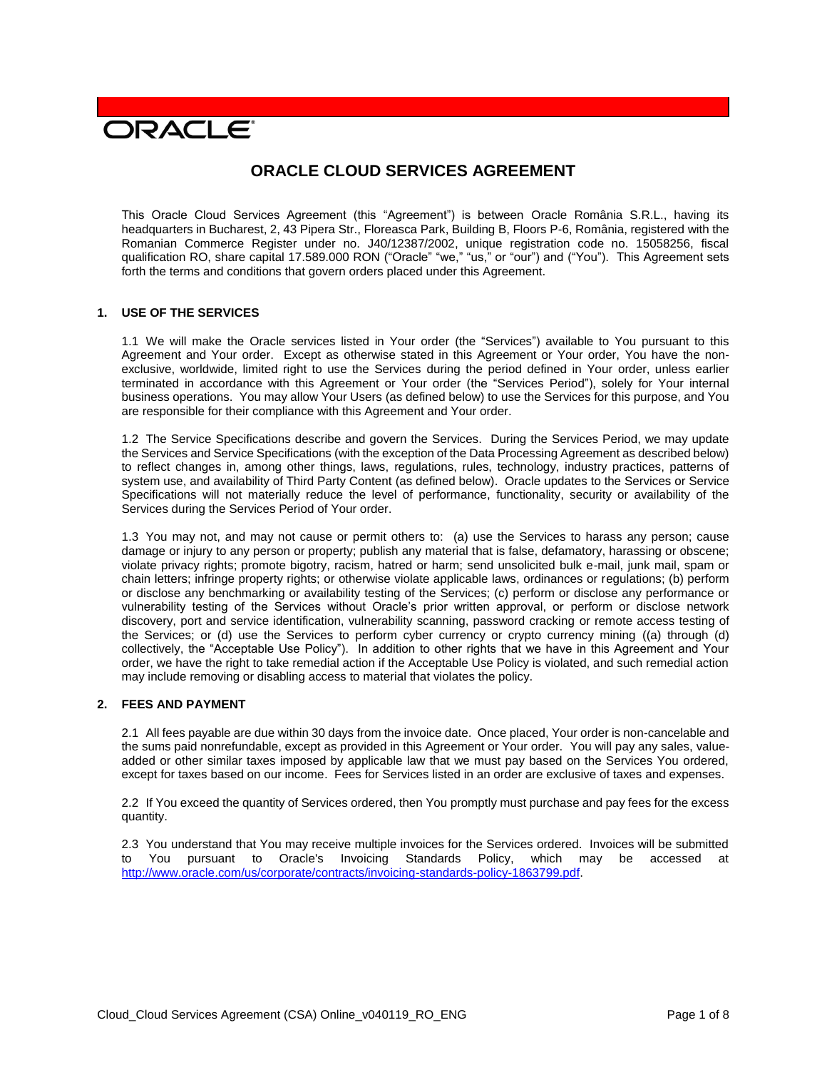# **DRACLE**

## **ORACLE CLOUD SERVICES AGREEMENT**

This Oracle Cloud Services Agreement (this "Agreement") is between Oracle România S.R.L., having its headquarters in Bucharest, 2, 43 Pipera Str., Floreasca Park, Building B, Floors P-6, România, registered with the Romanian Commerce Register under no. J40/12387/2002, unique registration code no. 15058256, fiscal qualification RO, share capital 17.589.000 RON ("Oracle" "we," "us," or "our") and ("You"). This Agreement sets forth the terms and conditions that govern orders placed under this Agreement.

## **1. USE OF THE SERVICES**

1.1 We will make the Oracle services listed in Your order (the "Services") available to You pursuant to this Agreement and Your order. Except as otherwise stated in this Agreement or Your order, You have the nonexclusive, worldwide, limited right to use the Services during the period defined in Your order, unless earlier terminated in accordance with this Agreement or Your order (the "Services Period"), solely for Your internal business operations. You may allow Your Users (as defined below) to use the Services for this purpose, and You are responsible for their compliance with this Agreement and Your order.

1.2 The Service Specifications describe and govern the Services. During the Services Period, we may update the Services and Service Specifications (with the exception of the Data Processing Agreement as described below) to reflect changes in, among other things, laws, regulations, rules, technology, industry practices, patterns of system use, and availability of Third Party Content (as defined below). Oracle updates to the Services or Service Specifications will not materially reduce the level of performance, functionality, security or availability of the Services during the Services Period of Your order.

1.3 You may not, and may not cause or permit others to: (a) use the Services to harass any person; cause damage or injury to any person or property; publish any material that is false, defamatory, harassing or obscene; violate privacy rights; promote bigotry, racism, hatred or harm; send unsolicited bulk e-mail, junk mail, spam or chain letters; infringe property rights; or otherwise violate applicable laws, ordinances or regulations; (b) perform or disclose any benchmarking or availability testing of the Services; (c) perform or disclose any performance or vulnerability testing of the Services without Oracle's prior written approval, or perform or disclose network discovery, port and service identification, vulnerability scanning, password cracking or remote access testing of the Services; or (d) use the Services to perform cyber currency or crypto currency mining ((a) through (d) collectively, the "Acceptable Use Policy"). In addition to other rights that we have in this Agreement and Your order, we have the right to take remedial action if the Acceptable Use Policy is violated, and such remedial action may include removing or disabling access to material that violates the policy.

## **2. FEES AND PAYMENT**

2.1 All fees payable are due within 30 days from the invoice date. Once placed, Your order is non-cancelable and the sums paid nonrefundable, except as provided in this Agreement or Your order. You will pay any sales, valueadded or other similar taxes imposed by applicable law that we must pay based on the Services You ordered, except for taxes based on our income. Fees for Services listed in an order are exclusive of taxes and expenses.

2.2 If You exceed the quantity of Services ordered, then You promptly must purchase and pay fees for the excess quantity.

2.3 You understand that You may receive multiple invoices for the Services ordered. Invoices will be submitted to You pursuant to Oracle's Invoicing Standards Policy, which may be accessed at [http://www.oracle.com/us/corporate/contracts/invoicing-standards-policy-1863799.pdf.](http://www.oracle.com/us/corporate/contracts/invoicing-standards-policy-1863799.pdf)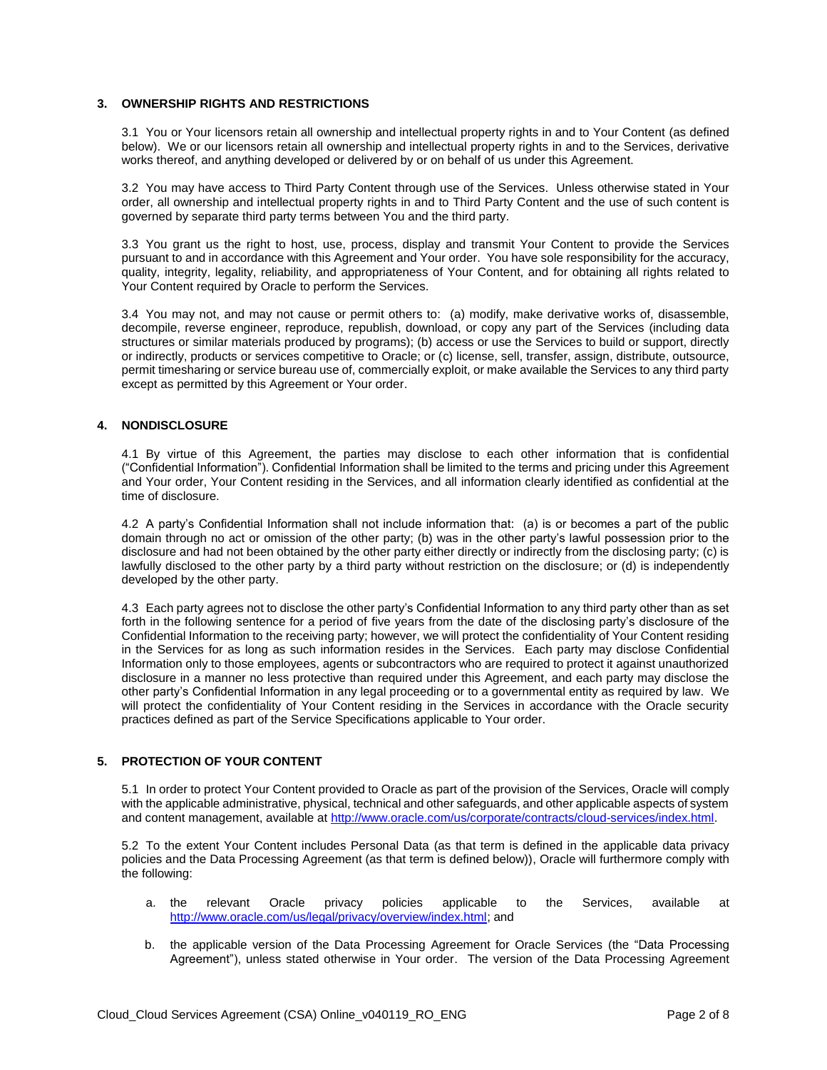## **3. OWNERSHIP RIGHTS AND RESTRICTIONS**

3.1 You or Your licensors retain all ownership and intellectual property rights in and to Your Content (as defined below). We or our licensors retain all ownership and intellectual property rights in and to the Services, derivative works thereof, and anything developed or delivered by or on behalf of us under this Agreement.

3.2 You may have access to Third Party Content through use of the Services. Unless otherwise stated in Your order, all ownership and intellectual property rights in and to Third Party Content and the use of such content is governed by separate third party terms between You and the third party.

3.3 You grant us the right to host, use, process, display and transmit Your Content to provide the Services pursuant to and in accordance with this Agreement and Your order. You have sole responsibility for the accuracy, quality, integrity, legality, reliability, and appropriateness of Your Content, and for obtaining all rights related to Your Content required by Oracle to perform the Services.

3.4 You may not, and may not cause or permit others to: (a) modify, make derivative works of, disassemble, decompile, reverse engineer, reproduce, republish, download, or copy any part of the Services (including data structures or similar materials produced by programs); (b) access or use the Services to build or support, directly or indirectly, products or services competitive to Oracle; or (c) license, sell, transfer, assign, distribute, outsource, permit timesharing or service bureau use of, commercially exploit, or make available the Services to any third party except as permitted by this Agreement or Your order.

## **4. NONDISCLOSURE**

4.1 By virtue of this Agreement, the parties may disclose to each other information that is confidential ("Confidential Information"). Confidential Information shall be limited to the terms and pricing under this Agreement and Your order, Your Content residing in the Services, and all information clearly identified as confidential at the time of disclosure.

4.2 A party's Confidential Information shall not include information that: (a) is or becomes a part of the public domain through no act or omission of the other party; (b) was in the other party's lawful possession prior to the disclosure and had not been obtained by the other party either directly or indirectly from the disclosing party; (c) is lawfully disclosed to the other party by a third party without restriction on the disclosure; or (d) is independently developed by the other party.

4.3 Each party agrees not to disclose the other party's Confidential Information to any third party other than as set forth in the following sentence for a period of five years from the date of the disclosing party's disclosure of the Confidential Information to the receiving party; however, we will protect the confidentiality of Your Content residing in the Services for as long as such information resides in the Services. Each party may disclose Confidential Information only to those employees, agents or subcontractors who are required to protect it against unauthorized disclosure in a manner no less protective than required under this Agreement, and each party may disclose the other party's Confidential Information in any legal proceeding or to a governmental entity as required by law. We will protect the confidentiality of Your Content residing in the Services in accordance with the Oracle security practices defined as part of the Service Specifications applicable to Your order.

## **5. PROTECTION OF YOUR CONTENT**

5.1 In order to protect Your Content provided to Oracle as part of the provision of the Services, Oracle will comply with the applicable administrative, physical, technical and other safeguards, and other applicable aspects of system and content management, available at [http://www.oracle.com/us/corporate/contracts/cloud-services/index.html.](http://www.oracle.com/us/corporate/contracts/cloud-services/index.html)

5.2 To the extent Your Content includes Personal Data (as that term is defined in the applicable data privacy policies and the Data Processing Agreement (as that term is defined below)), Oracle will furthermore comply with the following:

- a. the relevant Oracle privacy policies applicable to the Services, available at [http://www.oracle.com/us/legal/privacy/overview/index.html;](http://www.oracle.com/us/legal/privacy/overview/index.html) and
- b. the applicable version of the Data Processing Agreement for Oracle Services (the "Data Processing Agreement"), unless stated otherwise in Your order. The version of the Data Processing Agreement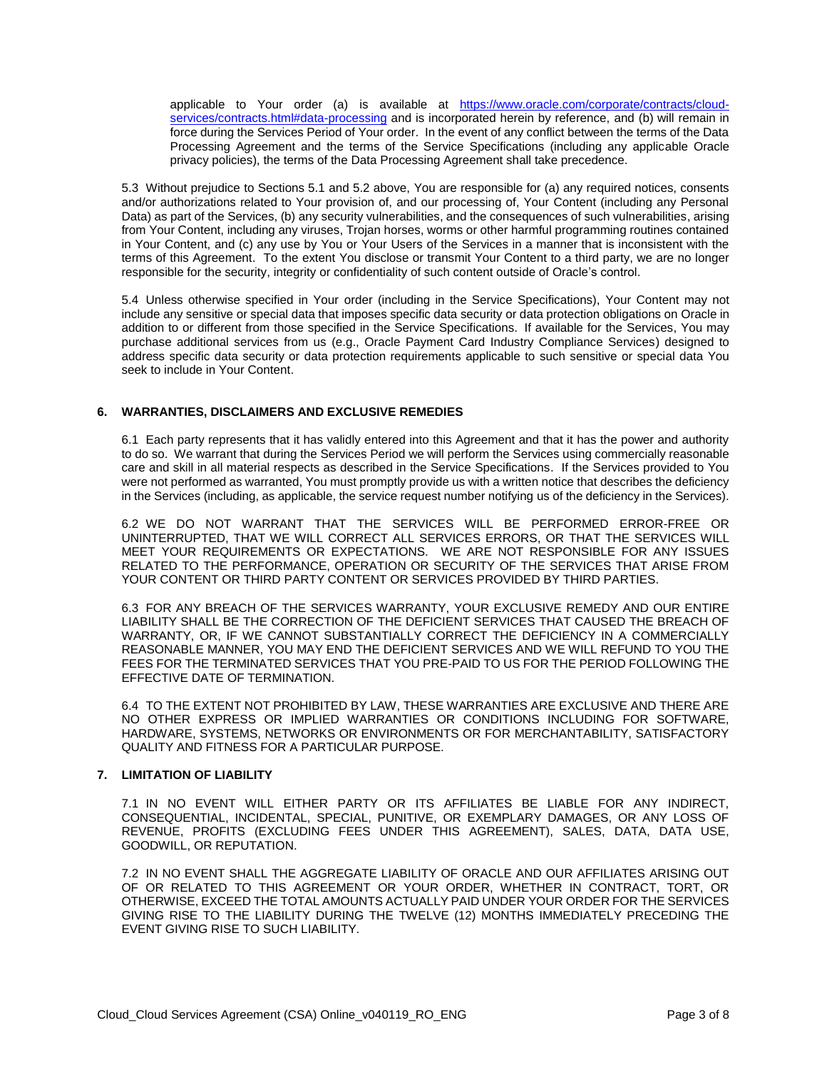applicable to Your order (a) is available at [https://www.oracle.com/corporate/contracts/cloud](https://www.oracle.com/corporate/contracts/cloud-services/contracts.html#data-processing)[services/contracts.html#data-processing](https://www.oracle.com/corporate/contracts/cloud-services/contracts.html#data-processing) and is incorporated herein by reference, and (b) will remain in force during the Services Period of Your order. In the event of any conflict between the terms of the Data Processing Agreement and the terms of the Service Specifications (including any applicable Oracle privacy policies), the terms of the Data Processing Agreement shall take precedence.

5.3 Without prejudice to Sections 5.1 and 5.2 above, You are responsible for (a) any required notices, consents and/or authorizations related to Your provision of, and our processing of, Your Content (including any Personal Data) as part of the Services, (b) any security vulnerabilities, and the consequences of such vulnerabilities, arising from Your Content, including any viruses, Trojan horses, worms or other harmful programming routines contained in Your Content, and (c) any use by You or Your Users of the Services in a manner that is inconsistent with the terms of this Agreement. To the extent You disclose or transmit Your Content to a third party, we are no longer responsible for the security, integrity or confidentiality of such content outside of Oracle's control.

5.4 Unless otherwise specified in Your order (including in the Service Specifications), Your Content may not include any sensitive or special data that imposes specific data security or data protection obligations on Oracle in addition to or different from those specified in the Service Specifications. If available for the Services, You may purchase additional services from us (e.g., Oracle Payment Card Industry Compliance Services) designed to address specific data security or data protection requirements applicable to such sensitive or special data You seek to include in Your Content.

## **6. WARRANTIES, DISCLAIMERS AND EXCLUSIVE REMEDIES**

6.1 Each party represents that it has validly entered into this Agreement and that it has the power and authority to do so. We warrant that during the Services Period we will perform the Services using commercially reasonable care and skill in all material respects as described in the Service Specifications. If the Services provided to You were not performed as warranted, You must promptly provide us with a written notice that describes the deficiency in the Services (including, as applicable, the service request number notifying us of the deficiency in the Services).

6.2 WE DO NOT WARRANT THAT THE SERVICES WILL BE PERFORMED ERROR-FREE OR UNINTERRUPTED, THAT WE WILL CORRECT ALL SERVICES ERRORS, OR THAT THE SERVICES WILL MEET YOUR REQUIREMENTS OR EXPECTATIONS. WE ARE NOT RESPONSIBLE FOR ANY ISSUES RELATED TO THE PERFORMANCE, OPERATION OR SECURITY OF THE SERVICES THAT ARISE FROM YOUR CONTENT OR THIRD PARTY CONTENT OR SERVICES PROVIDED BY THIRD PARTIES.

6.3 FOR ANY BREACH OF THE SERVICES WARRANTY, YOUR EXCLUSIVE REMEDY AND OUR ENTIRE LIABILITY SHALL BE THE CORRECTION OF THE DEFICIENT SERVICES THAT CAUSED THE BREACH OF WARRANTY, OR, IF WE CANNOT SUBSTANTIALLY CORRECT THE DEFICIENCY IN A COMMERCIALLY REASONABLE MANNER, YOU MAY END THE DEFICIENT SERVICES AND WE WILL REFUND TO YOU THE FEES FOR THE TERMINATED SERVICES THAT YOU PRE-PAID TO US FOR THE PERIOD FOLLOWING THE EFFECTIVE DATE OF TERMINATION.

6.4 TO THE EXTENT NOT PROHIBITED BY LAW, THESE WARRANTIES ARE EXCLUSIVE AND THERE ARE NO OTHER EXPRESS OR IMPLIED WARRANTIES OR CONDITIONS INCLUDING FOR SOFTWARE, HARDWARE, SYSTEMS, NETWORKS OR ENVIRONMENTS OR FOR MERCHANTABILITY, SATISFACTORY QUALITY AND FITNESS FOR A PARTICULAR PURPOSE.

## **7. LIMITATION OF LIABILITY**

7.1 IN NO EVENT WILL EITHER PARTY OR ITS AFFILIATES BE LIABLE FOR ANY INDIRECT, CONSEQUENTIAL, INCIDENTAL, SPECIAL, PUNITIVE, OR EXEMPLARY DAMAGES, OR ANY LOSS OF REVENUE, PROFITS (EXCLUDING FEES UNDER THIS AGREEMENT), SALES, DATA, DATA USE, GOODWILL, OR REPUTATION.

7.2 IN NO EVENT SHALL THE AGGREGATE LIABILITY OF ORACLE AND OUR AFFILIATES ARISING OUT OF OR RELATED TO THIS AGREEMENT OR YOUR ORDER, WHETHER IN CONTRACT, TORT, OR OTHERWISE, EXCEED THE TOTAL AMOUNTS ACTUALLY PAID UNDER YOUR ORDER FOR THE SERVICES GIVING RISE TO THE LIABILITY DURING THE TWELVE (12) MONTHS IMMEDIATELY PRECEDING THE EVENT GIVING RISE TO SUCH LIABILITY.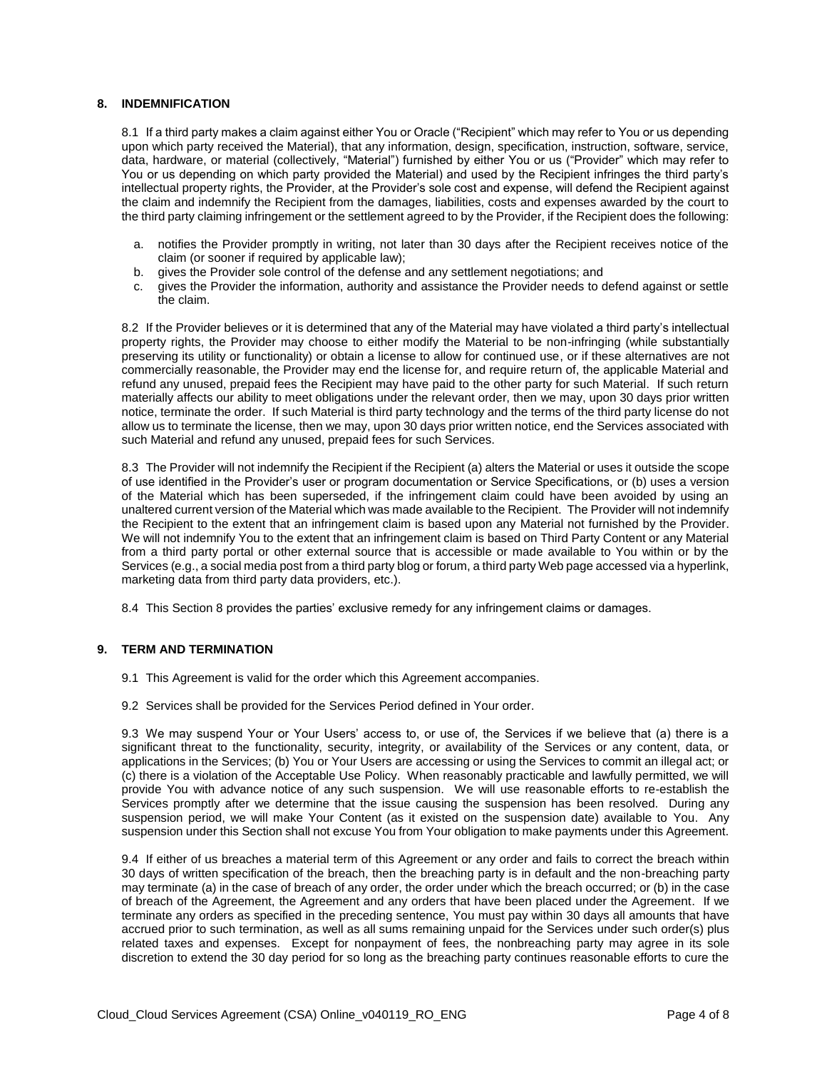## **8. INDEMNIFICATION**

8.1 If a third party makes a claim against either You or Oracle ("Recipient" which may refer to You or us depending upon which party received the Material), that any information, design, specification, instruction, software, service, data, hardware, or material (collectively, "Material") furnished by either You or us ("Provider" which may refer to You or us depending on which party provided the Material) and used by the Recipient infringes the third party's intellectual property rights, the Provider, at the Provider's sole cost and expense, will defend the Recipient against the claim and indemnify the Recipient from the damages, liabilities, costs and expenses awarded by the court to the third party claiming infringement or the settlement agreed to by the Provider, if the Recipient does the following:

- a. notifies the Provider promptly in writing, not later than 30 days after the Recipient receives notice of the claim (or sooner if required by applicable law);
- b. gives the Provider sole control of the defense and any settlement negotiations; and
- c. gives the Provider the information, authority and assistance the Provider needs to defend against or settle the claim.

8.2 If the Provider believes or it is determined that any of the Material may have violated a third party's intellectual property rights, the Provider may choose to either modify the Material to be non-infringing (while substantially preserving its utility or functionality) or obtain a license to allow for continued use, or if these alternatives are not commercially reasonable, the Provider may end the license for, and require return of, the applicable Material and refund any unused, prepaid fees the Recipient may have paid to the other party for such Material. If such return materially affects our ability to meet obligations under the relevant order, then we may, upon 30 days prior written notice, terminate the order. If such Material is third party technology and the terms of the third party license do not allow us to terminate the license, then we may, upon 30 days prior written notice, end the Services associated with such Material and refund any unused, prepaid fees for such Services.

8.3 The Provider will not indemnify the Recipient if the Recipient (a) alters the Material or uses it outside the scope of use identified in the Provider's user or program documentation or Service Specifications, or (b) uses a version of the Material which has been superseded, if the infringement claim could have been avoided by using an unaltered current version of the Material which was made available to the Recipient. The Provider will not indemnify the Recipient to the extent that an infringement claim is based upon any Material not furnished by the Provider. We will not indemnify You to the extent that an infringement claim is based on Third Party Content or any Material from a third party portal or other external source that is accessible or made available to You within or by the Services (e.g., a social media post from a third party blog or forum, a third party Web page accessed via a hyperlink, marketing data from third party data providers, etc.).

8.4 This Section 8 provides the parties' exclusive remedy for any infringement claims or damages.

## **9. TERM AND TERMINATION**

- 9.1 This Agreement is valid for the order which this Agreement accompanies.
- 9.2 Services shall be provided for the Services Period defined in Your order.

9.3 We may suspend Your or Your Users' access to, or use of, the Services if we believe that (a) there is a significant threat to the functionality, security, integrity, or availability of the Services or any content, data, or applications in the Services; (b) You or Your Users are accessing or using the Services to commit an illegal act; or (c) there is a violation of the Acceptable Use Policy. When reasonably practicable and lawfully permitted, we will provide You with advance notice of any such suspension. We will use reasonable efforts to re-establish the Services promptly after we determine that the issue causing the suspension has been resolved. During any suspension period, we will make Your Content (as it existed on the suspension date) available to You. Any suspension under this Section shall not excuse You from Your obligation to make payments under this Agreement.

9.4 If either of us breaches a material term of this Agreement or any order and fails to correct the breach within 30 days of written specification of the breach, then the breaching party is in default and the non-breaching party may terminate (a) in the case of breach of any order, the order under which the breach occurred; or (b) in the case of breach of the Agreement, the Agreement and any orders that have been placed under the Agreement. If we terminate any orders as specified in the preceding sentence, You must pay within 30 days all amounts that have accrued prior to such termination, as well as all sums remaining unpaid for the Services under such order(s) plus related taxes and expenses. Except for nonpayment of fees, the nonbreaching party may agree in its sole discretion to extend the 30 day period for so long as the breaching party continues reasonable efforts to cure the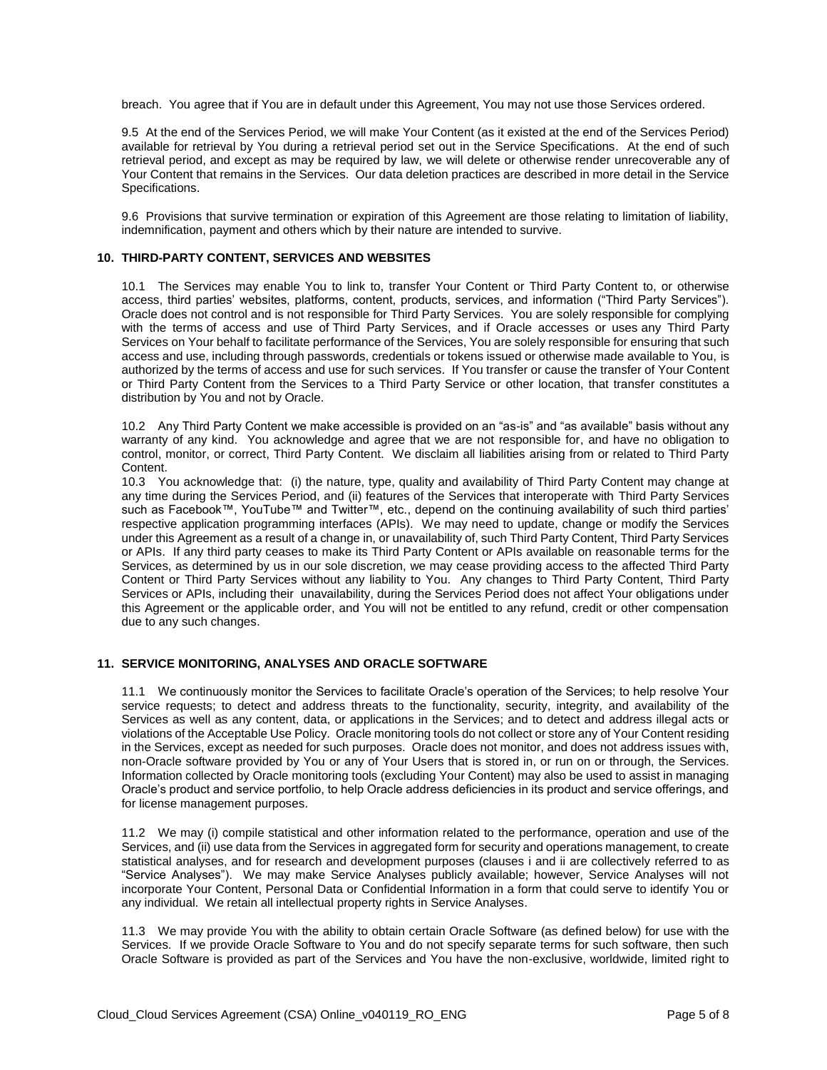breach. You agree that if You are in default under this Agreement, You may not use those Services ordered.

9.5 At the end of the Services Period, we will make Your Content (as it existed at the end of the Services Period) available for retrieval by You during a retrieval period set out in the Service Specifications. At the end of such retrieval period, and except as may be required by law, we will delete or otherwise render unrecoverable any of Your Content that remains in the Services. Our data deletion practices are described in more detail in the Service Specifications.

9.6 Provisions that survive termination or expiration of this Agreement are those relating to limitation of liability, indemnification, payment and others which by their nature are intended to survive.

#### **10. THIRD-PARTY CONTENT, SERVICES AND WEBSITES**

10.1 The Services may enable You to link to, transfer Your Content or Third Party Content to, or otherwise access, third parties' websites, platforms, content, products, services, and information ("Third Party Services"). Oracle does not control and is not responsible for Third Party Services. You are solely responsible for complying with the terms of access and use of Third Party Services, and if Oracle accesses or uses any Third Party Services on Your behalf to facilitate performance of the Services, You are solely responsible for ensuring that such access and use, including through passwords, credentials or tokens issued or otherwise made available to You, is authorized by the terms of access and use for such services. If You transfer or cause the transfer of Your Content or Third Party Content from the Services to a Third Party Service or other location, that transfer constitutes a distribution by You and not by Oracle.

10.2 Any Third Party Content we make accessible is provided on an "as-is" and "as available" basis without any warranty of any kind. You acknowledge and agree that we are not responsible for, and have no obligation to control, monitor, or correct, Third Party Content. We disclaim all liabilities arising from or related to Third Party Content.

10.3 You acknowledge that: (i) the nature, type, quality and availability of Third Party Content may change at any time during the Services Period, and (ii) features of the Services that interoperate with Third Party Services such as Facebook™, YouTube™ and Twitter™, etc., depend on the continuing availability of such third parties' respective application programming interfaces (APIs). We may need to update, change or modify the Services under this Agreement as a result of a change in, or unavailability of, such Third Party Content, Third Party Services or APIs. If any third party ceases to make its Third Party Content or APIs available on reasonable terms for the Services, as determined by us in our sole discretion, we may cease providing access to the affected Third Party Content or Third Party Services without any liability to You. Any changes to Third Party Content, Third Party Services or APIs, including their unavailability, during the Services Period does not affect Your obligations under this Agreement or the applicable order, and You will not be entitled to any refund, credit or other compensation due to any such changes.

#### **11. SERVICE MONITORING, ANALYSES AND ORACLE SOFTWARE**

11.1 We continuously monitor the Services to facilitate Oracle's operation of the Services; to help resolve Your service requests; to detect and address threats to the functionality, security, integrity, and availability of the Services as well as any content, data, or applications in the Services; and to detect and address illegal acts or violations of the Acceptable Use Policy. Oracle monitoring tools do not collect or store any of Your Content residing in the Services, except as needed for such purposes. Oracle does not monitor, and does not address issues with, non-Oracle software provided by You or any of Your Users that is stored in, or run on or through, the Services. Information collected by Oracle monitoring tools (excluding Your Content) may also be used to assist in managing Oracle's product and service portfolio, to help Oracle address deficiencies in its product and service offerings, and for license management purposes.

11.2 We may (i) compile statistical and other information related to the performance, operation and use of the Services, and (ii) use data from the Services in aggregated form for security and operations management, to create statistical analyses, and for research and development purposes (clauses i and ii are collectively referred to as "Service Analyses"). We may make Service Analyses publicly available; however, Service Analyses will not incorporate Your Content, Personal Data or Confidential Information in a form that could serve to identify You or any individual. We retain all intellectual property rights in Service Analyses.

11.3 We may provide You with the ability to obtain certain Oracle Software (as defined below) for use with the Services. If we provide Oracle Software to You and do not specify separate terms for such software, then such Oracle Software is provided as part of the Services and You have the non-exclusive, worldwide, limited right to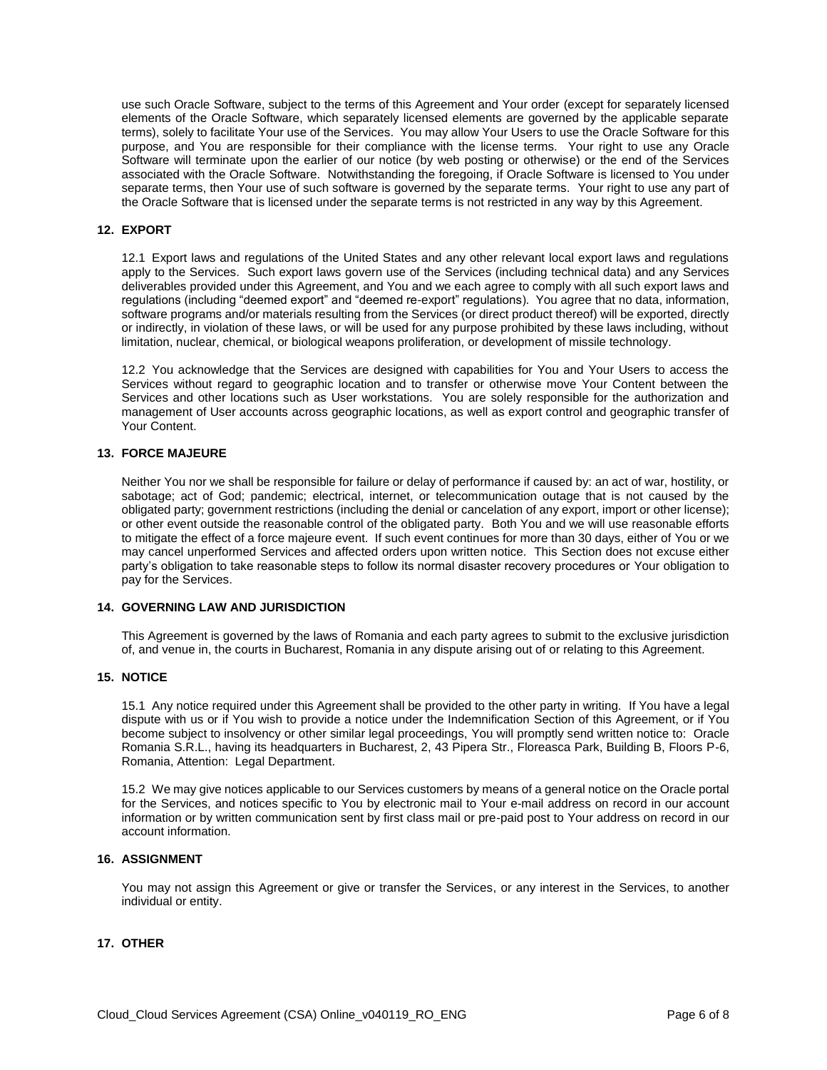use such Oracle Software, subject to the terms of this Agreement and Your order (except for separately licensed elements of the Oracle Software, which separately licensed elements are governed by the applicable separate terms), solely to facilitate Your use of the Services. You may allow Your Users to use the Oracle Software for this purpose, and You are responsible for their compliance with the license terms. Your right to use any Oracle Software will terminate upon the earlier of our notice (by web posting or otherwise) or the end of the Services associated with the Oracle Software. Notwithstanding the foregoing, if Oracle Software is licensed to You under separate terms, then Your use of such software is governed by the separate terms. Your right to use any part of the Oracle Software that is licensed under the separate terms is not restricted in any way by this Agreement.

## **12. EXPORT**

12.1 Export laws and regulations of the United States and any other relevant local export laws and regulations apply to the Services. Such export laws govern use of the Services (including technical data) and any Services deliverables provided under this Agreement, and You and we each agree to comply with all such export laws and regulations (including "deemed export" and "deemed re-export" regulations). You agree that no data, information, software programs and/or materials resulting from the Services (or direct product thereof) will be exported, directly or indirectly, in violation of these laws, or will be used for any purpose prohibited by these laws including, without limitation, nuclear, chemical, or biological weapons proliferation, or development of missile technology.

12.2 You acknowledge that the Services are designed with capabilities for You and Your Users to access the Services without regard to geographic location and to transfer or otherwise move Your Content between the Services and other locations such as User workstations. You are solely responsible for the authorization and management of User accounts across geographic locations, as well as export control and geographic transfer of Your Content.

## **13. FORCE MAJEURE**

Neither You nor we shall be responsible for failure or delay of performance if caused by: an act of war, hostility, or sabotage; act of God; pandemic; electrical, internet, or telecommunication outage that is not caused by the obligated party; government restrictions (including the denial or cancelation of any export, import or other license); or other event outside the reasonable control of the obligated party. Both You and we will use reasonable efforts to mitigate the effect of a force majeure event. If such event continues for more than 30 days, either of You or we may cancel unperformed Services and affected orders upon written notice. This Section does not excuse either party's obligation to take reasonable steps to follow its normal disaster recovery procedures or Your obligation to pay for the Services.

#### **14. GOVERNING LAW AND JURISDICTION**

This Agreement is governed by the laws of Romania and each party agrees to submit to the exclusive jurisdiction of, and venue in, the courts in Bucharest, Romania in any dispute arising out of or relating to this Agreement.

#### **15. NOTICE**

15.1 Any notice required under this Agreement shall be provided to the other party in writing. If You have a legal dispute with us or if You wish to provide a notice under the Indemnification Section of this Agreement, or if You become subject to insolvency or other similar legal proceedings, You will promptly send written notice to: Oracle Romania S.R.L., having its headquarters in Bucharest, 2, 43 Pipera Str., Floreasca Park, Building B, Floors P-6, Romania, Attention: Legal Department.

15.2 We may give notices applicable to our Services customers by means of a general notice on the Oracle portal for the Services, and notices specific to You by electronic mail to Your e-mail address on record in our account information or by written communication sent by first class mail or pre-paid post to Your address on record in our account information.

#### **16. ASSIGNMENT**

You may not assign this Agreement or give or transfer the Services, or any interest in the Services, to another individual or entity.

## **17. OTHER**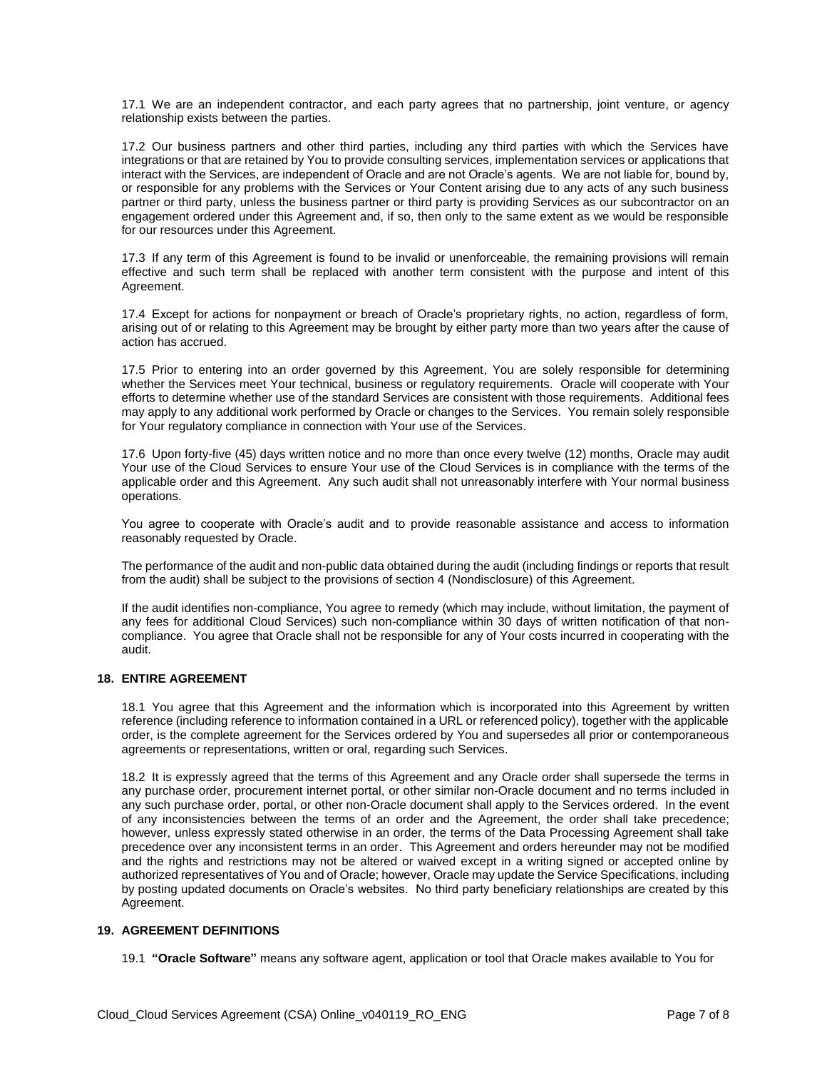17.1 We are an independent contractor, and each party agrees that no partnership, joint venture, or agency relationship exists between the parties.

17.2 Our business partners and other third parties, including any third parties with which the Services have integrations or that are retained by You to provide consulting services, implementation services or applications that interact with the Services, are independent of Oracle and are not Oracle's agents. We are not liable for, bound by, or responsible for any problems with the Services or Your Content arising due to any acts of any such business partner or third party, unless the business partner or third party is providing Services as our subcontractor on an engagement ordered under this Agreement and, if so, then only to the same extent as we would be responsible for our resources under this Agreement.

17.3 If any term of this Agreement is found to be invalid or unenforceable, the remaining provisions will remain effective and such term shall be replaced with another term consistent with the purpose and intent of this Agreement.

17.4 Except for actions for nonpayment or breach of Oracle's proprietary rights, no action, regardless of form, arising out of or relating to this Agreement may be brought by either party more than two years after the cause of action has accrued.

17.5 Prior to entering into an order governed by this Agreement, You are solely responsible for determining whether the Services meet Your technical, business or regulatory requirements. Oracle will cooperate with Your efforts to determine whether use of the standard Services are consistent with those requirements. Additional fees may apply to any additional work performed by Oracle or changes to the Services. You remain solely responsible for Your regulatory compliance in connection with Your use of the Services.

17.6 Upon forty-five (45) days written notice and no more than once every twelve (12) months, Oracle may audit Your use of the Cloud Services to ensure Your use of the Cloud Services is in compliance with the terms of the applicable order and this Agreement. Any such audit shall not unreasonably interfere with Your normal business operations.

You agree to cooperate with Oracle's audit and to provide reasonable assistance and access to information reasonably requested by Oracle.

The performance of the audit and non-public data obtained during the audit (including findings or reports that result from the audit) shall be subject to the provisions of section 4 (Nondisclosure) of this Agreement.

If the audit identifies non-compliance, You agree to remedy (which may include, without limitation, the payment of any fees for additional Cloud Services) such non-compliance within 30 days of written notification of that noncompliance. You agree that Oracle shall not be responsible for any of Your costs incurred in cooperating with the audit.

## **18. ENTIRE AGREEMENT**

18.1 You agree that this Agreement and the information which is incorporated into this Agreement by written reference (including reference to information contained in a URL or referenced policy), together with the applicable order, is the complete agreement for the Services ordered by You and supersedes all prior or contemporaneous agreements or representations, written or oral, regarding such Services.

18.2 It is expressly agreed that the terms of this Agreement and any Oracle order shall supersede the terms in any purchase order, procurement internet portal, or other similar non-Oracle document and no terms included in any such purchase order, portal, or other non-Oracle document shall apply to the Services ordered. In the event of any inconsistencies between the terms of an order and the Agreement, the order shall take precedence; however, unless expressly stated otherwise in an order, the terms of the Data Processing Agreement shall take precedence over any inconsistent terms in an order. This Agreement and orders hereunder may not be modified and the rights and restrictions may not be altered or waived except in a writing signed or accepted online by authorized representatives of You and of Oracle; however, Oracle may update the Service Specifications, including by posting updated documents on Oracle's websites. No third party beneficiary relationships are created by this Agreement.

#### **19. AGREEMENT DEFINITIONS**

19.1 **"Oracle Software"** means any software agent, application or tool that Oracle makes available to You for